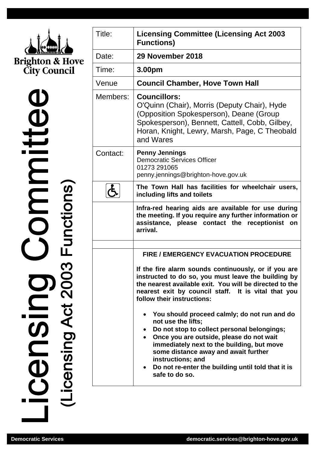

 $\mathbf 0$ icensing Act 2003 Functions)

| Title:   | <b>Licensing Committee (Licensing Act 2003</b><br><b>Functions)</b>                                                                                                                                                                                                                                                                                           |
|----------|---------------------------------------------------------------------------------------------------------------------------------------------------------------------------------------------------------------------------------------------------------------------------------------------------------------------------------------------------------------|
| Date:    | 29 November 2018                                                                                                                                                                                                                                                                                                                                              |
| Time:    | 3.00pm                                                                                                                                                                                                                                                                                                                                                        |
| Venue    | <b>Council Chamber, Hove Town Hall</b>                                                                                                                                                                                                                                                                                                                        |
| Members: | <b>Councillors:</b><br>O'Quinn (Chair), Morris (Deputy Chair), Hyde<br>(Opposition Spokesperson), Deane (Group<br>Spokesperson), Bennett, Cattell, Cobb, Gilbey,<br>Horan, Knight, Lewry, Marsh, Page, C Theobald<br>and Wares                                                                                                                                |
| Contact: | <b>Penny Jennings</b><br><b>Democratic Services Officer</b><br>01273 291065<br>penny.jennings@brighton-hove.gov.uk                                                                                                                                                                                                                                            |
|          | The Town Hall has facilities for wheelchair users,<br>including lifts and toilets                                                                                                                                                                                                                                                                             |
|          | Infra-red hearing aids are available for use during<br>the meeting. If you require any further information or<br>assistance, please contact the receptionist<br>on<br>arrival.                                                                                                                                                                                |
|          | <b>FIRE / EMERGENCY EVACUATION PROCEDURE</b>                                                                                                                                                                                                                                                                                                                  |
|          | If the fire alarm sounds continuously, or if you are<br>instructed to do so, you must leave the building by<br>the nearest available exit. You will be directed to the<br>nearest exit by council staff. It is vital that you<br>follow their instructions:                                                                                                   |
|          | You should proceed calmly; do not run and do<br>not use the lifts;<br>Do not stop to collect personal belongings;<br>$\bullet$<br>Once you are outside, please do not wait<br>immediately next to the building, but move<br>some distance away and await further<br>instructions; and<br>Do not re-enter the building until told that it is<br>safe to do so. |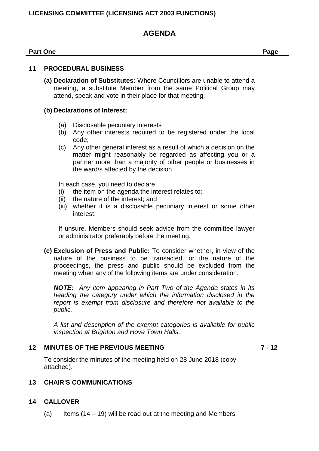# **LICENSING COMMITTEE (LICENSING ACT 2003 FUNCTIONS)**

# **AGENDA**

#### **Part One Page**

## **11 PROCEDURAL BUSINESS**

**(a) Declaration of Substitutes:** Where Councillors are unable to attend a meeting, a substitute Member from the same Political Group may attend, speak and vote in their place for that meeting.

#### **(b) Declarations of Interest:**

- (a) Disclosable pecuniary interests
- (b) Any other interests required to be registered under the local code;
- (c) Any other general interest as a result of which a decision on the matter might reasonably be regarded as affecting you or a partner more than a majority of other people or businesses in the ward/s affected by the decision.

In each case, you need to declare

- (i) the item on the agenda the interest relates to;
- (ii) the nature of the interest; and
- (iii) whether it is a disclosable pecuniary interest or some other interest.

If unsure, Members should seek advice from the committee lawyer or administrator preferably before the meeting.

**(c) Exclusion of Press and Public:** To consider whether, in view of the nature of the business to be transacted, or the nature of the proceedings, the press and public should be excluded from the meeting when any of the following items are under consideration.

*NOTE: Any item appearing in Part Two of the Agenda states in its heading the category under which the information disclosed in the report is exempt from disclosure and therefore not available to the public.*

*A list and description of the exempt categories is available for public inspection at Brighton and Hove Town Halls.*

#### **12 MINUTES OF THE PREVIOUS MEETING 7 - 12**

To consider the minutes of the meeting held on 28 June 2018 (copy attached).

# **13 CHAIR'S COMMUNICATIONS**

#### **14 CALLOVER**

(a) Items  $(14 - 19)$  will be read out at the meeting and Members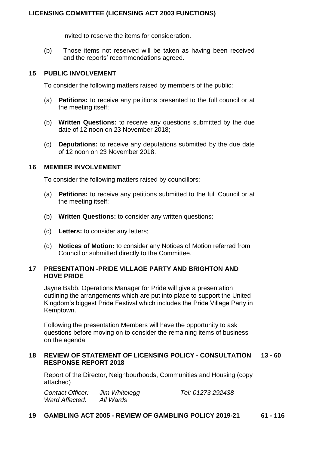invited to reserve the items for consideration.

(b) Those items not reserved will be taken as having been received and the reports' recommendations agreed.

## **15 PUBLIC INVOLVEMENT**

To consider the following matters raised by members of the public:

- (a) **Petitions:** to receive any petitions presented to the full council or at the meeting itself;
- (b) **Written Questions:** to receive any questions submitted by the due date of 12 noon on 23 November 2018;
- (c) **Deputations:** to receive any deputations submitted by the due date of 12 noon on 23 November 2018.

# **16 MEMBER INVOLVEMENT**

To consider the following matters raised by councillors:

- (a) **Petitions:** to receive any petitions submitted to the full Council or at the meeting itself;
- (b) **Written Questions:** to consider any written questions;
- (c) **Letters:** to consider any letters;
- (d) **Notices of Motion:** to consider any Notices of Motion referred from Council or submitted directly to the Committee.

#### **17 PRESENTATION -PRIDE VILLAGE PARTY AND BRIGHTON AND HOVE PRIDE**

Jayne Babb, Operations Manager for Pride will give a presentation outlining the arrangements which are put into place to support the United Kingdom's biggest Pride Festival which includes the Pride Village Party in Kemptown.

Following the presentation Members will have the opportunity to ask questions before moving on to consider the remaining items of business on the agenda.

# **18 REVIEW OF STATEMENT OF LICENSING POLICY - CONSULTATION 13 - 60 RESPONSE REPORT 2018**

Report of the Director, Neighbourhoods, Communities and Housing (copy attached)

*Contact Officer: Jim Whitelegg Tel: 01273 292438 Ward Affected: All Wards*

# **19 GAMBLING ACT 2005 - REVIEW OF GAMBLING POLICY 2019-21 61 - 116**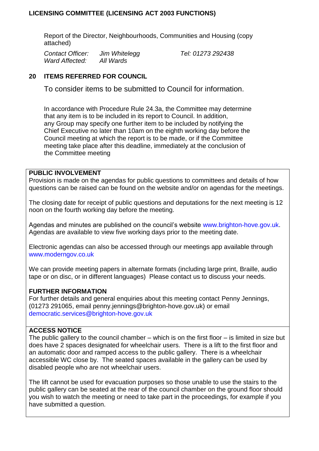# **LICENSING COMMITTEE (LICENSING ACT 2003 FUNCTIONS)**

Report of the Director, Neighbourhoods, Communities and Housing (copy attached)

*Contact Officer: Jim Whitelegg Tel: 01273 292438 Ward Affected: All Wards*

# **20 ITEMS REFERRED FOR COUNCIL**

To consider items to be submitted to Council for information.

In accordance with Procedure Rule 24.3a, the Committee may determine that any item is to be included in its report to Council. In addition, any Group may specify one further item to be included by notifying the Chief Executive no later than 10am on the eighth working day before the Council meeting at which the report is to be made, or if the Committee meeting take place after this deadline, immediately at the conclusion of the Committee meeting

# **PUBLIC INVOLVEMENT**

Provision is made on the agendas for public questions to committees and details of how questions can be raised can be found on the website and/or on agendas for the meetings.

The closing date for receipt of public questions and deputations for the next meeting is 12 noon on the fourth working day before the meeting.

Agendas and minutes are published on the council's website [www.brighton-hove.gov.uk.](http://www.brighton-hove.gov.uk/) Agendas are available to view five working days prior to the meeting date.

Electronic agendas can also be accessed through our meetings app available through [www.moderngov.co.uk](http://www.moderngov.co.uk/our-solutions/tablet-app-paperless-meetings)

We can provide meeting papers in alternate formats (including large print, Braille, audio tape or on disc, or in different languages) Please contact us to discuss your needs.

# **FURTHER INFORMATION**

For further details and general enquiries about this meeting contact Penny Jennings, (01273 291065, email penny.jennings@brighton-hove.gov.uk) or email [democratic.services@brighton-hove.gov.uk](mailto:democratic.services@brighton-hove.gov.uk)

# **ACCESS NOTICE**

The public gallery to the council chamber – which is on the first floor – is limited in size but does have 2 spaces designated for wheelchair users. There is a lift to the first floor and an automatic door and ramped access to the public gallery. There is a wheelchair accessible WC close by. The seated spaces available in the gallery can be used by disabled people who are not wheelchair users.

The lift cannot be used for evacuation purposes so those unable to use the stairs to the public gallery can be seated at the rear of the council chamber on the ground floor should you wish to watch the meeting or need to take part in the proceedings, for example if you have submitted a question.